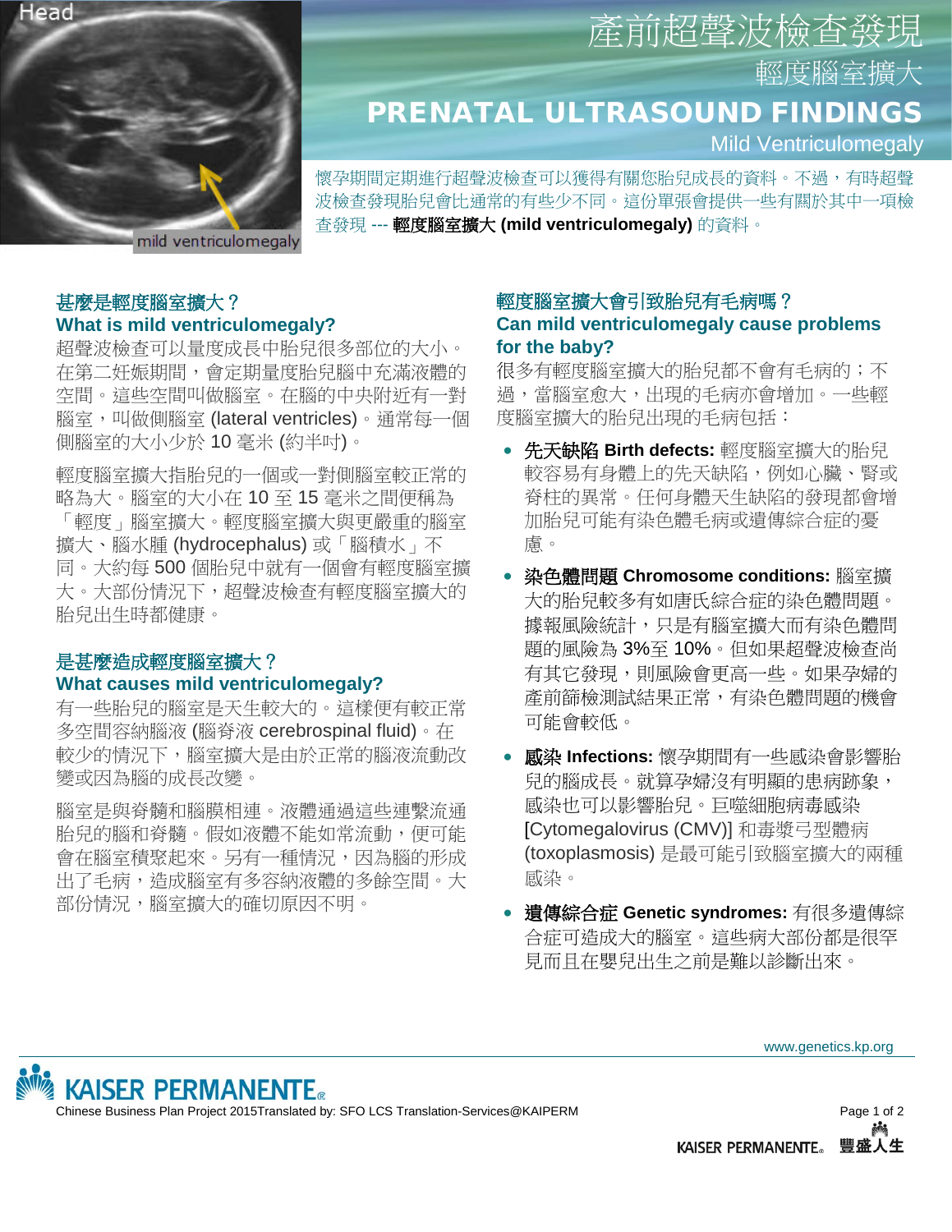

# 輕度腦室擴大 PRENATAL ULTRASOUND FINDINGS

Mild Ventriculomegaly

懷孕期間定期進行超聲波檢查可以獲得有關您胎兒成長的資料。不過,有時超聲 波檢查發現胎兒會比通常的有些少不同。這份單張會提供一些有闗於其中一項檢 查發現 --- 輕度腦室擴大 **(mild ventriculomegaly)** 的資料。

## 甚麼是輕度腦室擴大? **What is mild ventriculomegaly?**

超聲波檢查可以量度成長中胎兒很多部位的大小。 在第二妊娠期間,會定期量度胎兒腦中充滿液體的 空間。這些空間叫做腦室。在腦的中央附近有一對 腦室,叫做側腦室 (lateral ventricles)。通常每一個 側腦室的大小少於 10 毫米 (約半吋)。

輕度腦室擴大指胎兒的一個或一對側腦室較正常的 略為大。腦室的大小在 10 至 15 毫米之間便稱為 「輕度」腦室擴大。輕度腦室擴大與更嚴重的腦室 擴大、腦水腫 (hydrocephalus) 或「腦積水」不 同。大約每 500 個胎兒中就有一個會有輕度腦室擴 大。大部份情況下,超聲波檢查有輕度腦室擴大的 胎兒出生時都健康。

### 是甚麼造成輕度腦室擴大? **What causes mild ventriculomegaly?**

有一些胎兒的腦室是天生較大的。這樣便有較正常 多空間容納腦液 (腦脊液 cerebrospinal fluid)。在 較少的情況下,腦室擴大是由於正常的腦液流動改 變或因為腦的成長改變。

腦室是與脊髓和腦膜相連。液體通過這些連繫流通 胎兒的腦和脊髓。假如液體不能如常流動,便可能 會在腦室積聚起來。另有一種情況,因為腦的形成 出了毛病,造成腦室有多容納液體的多餘空間。大 部份情況,腦室擴大的確切原因不明。

# 輕度腦室擴大會引致胎兒有毛病嗎? **Can mild ventriculomegaly cause problems for the baby?**

產前超聲波檢查

很多有輕度腦室擴大的胎兒都不會有毛病的;不 過,當腦室愈大,出現的毛病亦會增加。一些輕 度腦室擴大的胎兒出現的毛病包括:

- 先天缺陷 **Birth defects:** 輕度腦室擴大的胎兒 較容易有身體上的先天缺陷,例如心臟、腎或 脊柱的異常。任何身體天生缺陷的發現都會增 加胎兒可能有染色體毛病或遺傳綜合症的憂 慮。
- 染色體問題 **Chromosome conditions:** 腦室擴 大的胎兒較多有如唐氏綜合症的染色體問題。 據報風險統計,只是有腦室擴大而有染色體問 題的風險為 3%至 10%。但如果超聲波檢查尚 有其它發現,則風險會更高一些。如果孕婦的 產前篩檢測試結果正常,有染色體問題的機會 可能會較低。
- 感染 **Infections:** 懷孕期間有一些感染會影響胎 兒的腦成長。就算孕婦沒有明顯的患病跡象, 感染也可以影響胎兒。巨噬細胞病毒感染 [Cytomegalovirus (CMV)] 和毒漿弓型體病 (toxoplasmosis) 是最可能引致腦室擴大的兩種 感染。
- 遺傳綜合症 **Genetic syndromes:** 有很多遺傳綜 合症可造成大的腦室。這些病大部份都是很罕 見而且在嬰兒出生之前是難以診斷出來。

www.genetics.kp.org



Chinese Business Plan Project 2015Translated by: SFO LCS Translation-Services@KAIPERM Page 1 of 2